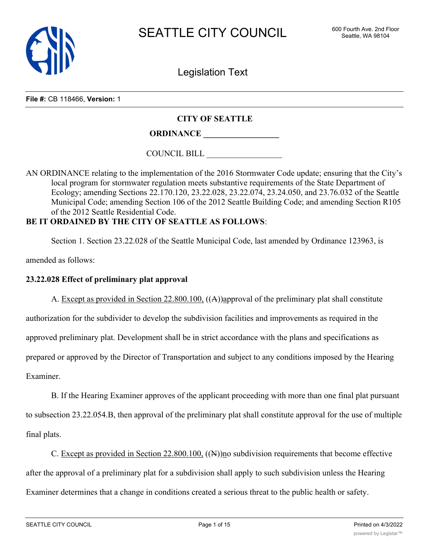

Legislation Text

#### **File #:** CB 118466, **Version:** 1

### **CITY OF SEATTLE**

# **ORDINANCE \_\_\_\_\_\_\_\_\_\_\_\_\_\_\_\_\_\_**

COUNCIL BILL \_\_\_\_\_\_\_\_\_\_\_\_\_\_\_\_\_\_

AN ORDINANCE relating to the implementation of the 2016 Stormwater Code update; ensuring that the City's local program for stormwater regulation meets substantive requirements of the State Department of Ecology; amending Sections 22.170.120, 23.22.028, 23.22.074, 23.24.050, and 23.76.032 of the Seattle Municipal Code; amending Section 106 of the 2012 Seattle Building Code; and amending Section R105 of the 2012 Seattle Residential Code.

## **BE IT ORDAINED BY THE CITY OF SEATTLE AS FOLLOWS**:

Section 1. Section 23.22.028 of the Seattle Municipal Code, last amended by Ordinance 123963, is

amended as follows:

### **23.22.028 Effect of preliminary plat approval**

A. Except as provided in Section 22.800.100, ((A))approval of the preliminary plat shall constitute authorization for the subdivider to develop the subdivision facilities and improvements as required in the approved preliminary plat. Development shall be in strict accordance with the plans and specifications as prepared or approved by the Director of Transportation and subject to any conditions imposed by the Hearing Examiner.

B. If the Hearing Examiner approves of the applicant proceeding with more than one final plat pursuant to subsection 23.22.054.B, then approval of the preliminary plat shall constitute approval for the use of multiple final plats.

C. Except as provided in Section 22.800.100, ((N))no subdivision requirements that become effective after the approval of a preliminary plat for a subdivision shall apply to such subdivision unless the Hearing Examiner determines that a change in conditions created a serious threat to the public health or safety.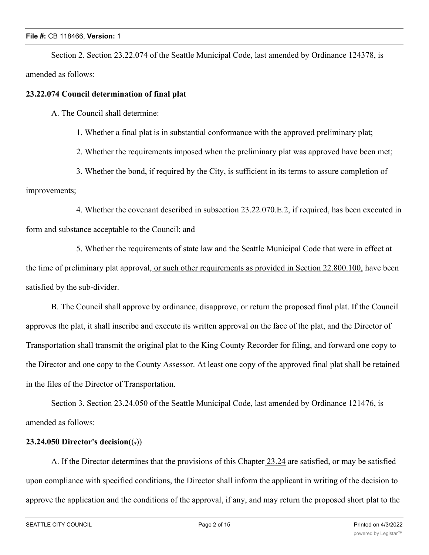Section 2. Section 23.22.074 of the Seattle Municipal Code, last amended by Ordinance 124378, is amended as follows:

### **23.22.074 Council determination of final plat**

A. The Council shall determine:

1. Whether a final plat is in substantial conformance with the approved preliminary plat;

2. Whether the requirements imposed when the preliminary plat was approved have been met;

3. Whether the bond, if required by the City, is sufficient in its terms to assure completion of improvements;

4. Whether the covenant described in subsection 23.22.070.E.2, if required, has been executed in form and substance acceptable to the Council; and

5. Whether the requirements of state law and the Seattle Municipal Code that were in effect at the time of preliminary plat approval, or such other requirements as provided in Section 22.800.100, have been satisfied by the sub-divider.

B. The Council shall approve by ordinance, disapprove, or return the proposed final plat. If the Council approves the plat, it shall inscribe and execute its written approval on the face of the plat, and the Director of Transportation shall transmit the original plat to the King County Recorder for filing, and forward one copy to the Director and one copy to the County Assessor. At least one copy of the approved final plat shall be retained in the files of the Director of Transportation.

Section 3. Section 23.24.050 of the Seattle Municipal Code, last amended by Ordinance 121476, is amended as follows:

### **23.24.050 Director's decision**((**.**))

A. If the Director determines that the provisions of this Chapter 23.24 are satisfied, or may be satisfied upon compliance with specified conditions, the Director shall inform the applicant in writing of the decision to approve the application and the conditions of the approval, if any, and may return the proposed short plat to the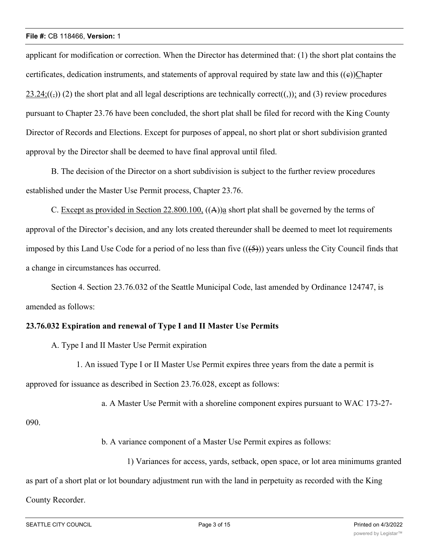applicant for modification or correction. When the Director has determined that: (1) the short plat contains the certificates, dedication instruments, and statements of approval required by state law and this  $((e))$ Chapter  $23.24$ ;(( $\epsilon$ )) (2) the short plat and all legal descriptions are technically correct((,)); and (3) review procedures pursuant to Chapter 23.76 have been concluded, the short plat shall be filed for record with the King County Director of Records and Elections. Except for purposes of appeal, no short plat or short subdivision granted approval by the Director shall be deemed to have final approval until filed.

B. The decision of the Director on a short subdivision is subject to the further review procedures established under the Master Use Permit process, Chapter 23.76.

C. Except as provided in Section 22.800.100, ((A))a short plat shall be governed by the terms of approval of the Director's decision, and any lots created thereunder shall be deemed to meet lot requirements imposed by this Land Use Code for a period of no less than five  $((5))$  years unless the City Council finds that a change in circumstances has occurred.

Section 4. Section 23.76.032 of the Seattle Municipal Code, last amended by Ordinance 124747, is amended as follows:

### **23.76.032 Expiration and renewal of Type I and II Master Use Permits**

A. Type I and II Master Use Permit expiration

1. An issued Type I or II Master Use Permit expires three years from the date a permit is approved for issuance as described in Section 23.76.028, except as follows:

a. A Master Use Permit with a shoreline component expires pursuant to WAC 173-27-

090.

b. A variance component of a Master Use Permit expires as follows:

1) Variances for access, yards, setback, open space, or lot area minimums granted

as part of a short plat or lot boundary adjustment run with the land in perpetuity as recorded with the King

### County Recorder.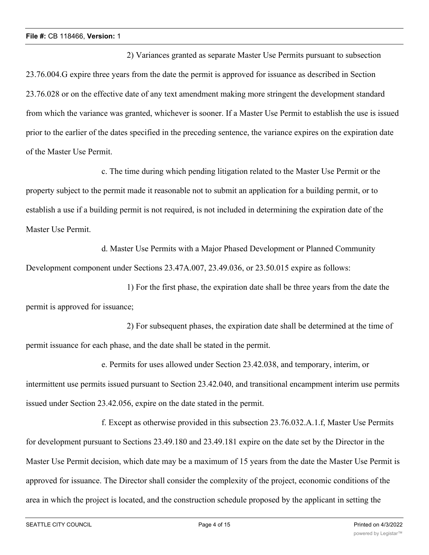2) Variances granted as separate Master Use Permits pursuant to subsection 23.76.004.G expire three years from the date the permit is approved for issuance as described in Section 23.76.028 or on the effective date of any text amendment making more stringent the development standard from which the variance was granted, whichever is sooner. If a Master Use Permit to establish the use is issued prior to the earlier of the dates specified in the preceding sentence, the variance expires on the expiration date of the Master Use Permit.

c. The time during which pending litigation related to the Master Use Permit or the property subject to the permit made it reasonable not to submit an application for a building permit, or to establish a use if a building permit is not required, is not included in determining the expiration date of the Master Use Permit.

d. Master Use Permits with a Major Phased Development or Planned Community Development component under Sections 23.47A.007, 23.49.036, or 23.50.015 expire as follows:

1) For the first phase, the expiration date shall be three years from the date the permit is approved for issuance;

2) For subsequent phases, the expiration date shall be determined at the time of permit issuance for each phase, and the date shall be stated in the permit.

e. Permits for uses allowed under Section 23.42.038, and temporary, interim, or intermittent use permits issued pursuant to Section 23.42.040, and transitional encampment interim use permits issued under Section 23.42.056, expire on the date stated in the permit.

f. Except as otherwise provided in this subsection 23.76.032.A.1.f, Master Use Permits for development pursuant to Sections 23.49.180 and 23.49.181 expire on the date set by the Director in the Master Use Permit decision, which date may be a maximum of 15 years from the date the Master Use Permit is approved for issuance. The Director shall consider the complexity of the project, economic conditions of the area in which the project is located, and the construction schedule proposed by the applicant in setting the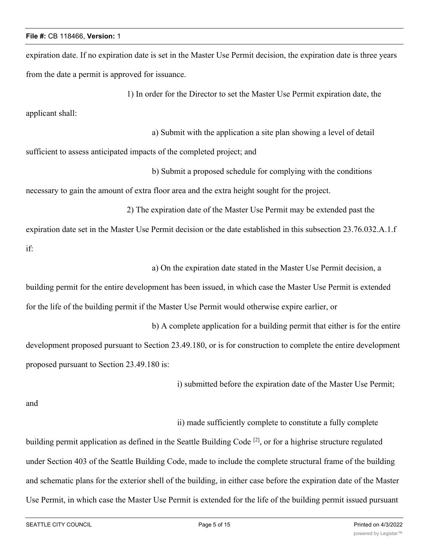expiration date. If no expiration date is set in the Master Use Permit decision, the expiration date is three years from the date a permit is approved for issuance.

1) In order for the Director to set the Master Use Permit expiration date, the

applicant shall:

a) Submit with the application a site plan showing a level of detail

sufficient to assess anticipated impacts of the completed project; and

b) Submit a proposed schedule for complying with the conditions

necessary to gain the amount of extra floor area and the extra height sought for the project.

2) The expiration date of the Master Use Permit may be extended past the expiration date set in the Master Use Permit decision or the date established in this subsection 23.76.032.A.1.f if:

a) On the expiration date stated in the Master Use Permit decision, a

building permit for the entire development has been issued, in which case the Master Use Permit is extended for the life of the building permit if the Master Use Permit would otherwise expire earlier, or

b) A complete application for a building permit that either is for the entire development proposed pursuant to Section 23.49.180, or is for construction to complete the entire development proposed pursuant to Section 23.49.180 is:

i) submitted before the expiration date of the Master Use Permit;

and

ii) made sufficiently complete to constitute a fully complete

building permit application as defined in the Seattle Building Code <sup>[2]</sup>, or for a highrise structure regulated under Section 403 of the Seattle Building Code, made to include the complete structural frame of the building and schematic plans for the exterior shell of the building, in either case before the expiration date of the Master Use Permit, in which case the Master Use Permit is extended for the life of the building permit issued pursuant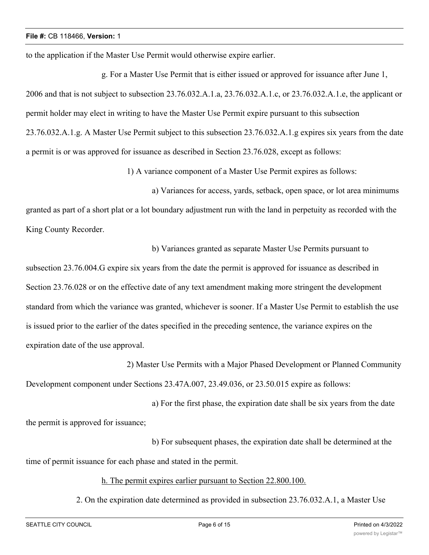to the application if the Master Use Permit would otherwise expire earlier.

g. For a Master Use Permit that is either issued or approved for issuance after June 1, 2006 and that is not subject to subsection 23.76.032.A.1.a, 23.76.032.A.1.c, or 23.76.032.A.1.e, the applicant or permit holder may elect in writing to have the Master Use Permit expire pursuant to this subsection 23.76.032.A.1.g. A Master Use Permit subject to this subsection 23.76.032.A.1.g expires six years from the date a permit is or was approved for issuance as described in Section 23.76.028, except as follows:

1) A variance component of a Master Use Permit expires as follows:

b) Variances granted as separate Master Use Permits pursuant to

a) Variances for access, yards, setback, open space, or lot area minimums granted as part of a short plat or a lot boundary adjustment run with the land in perpetuity as recorded with the King County Recorder.

subsection 23.76.004.G expire six years from the date the permit is approved for issuance as described in Section 23.76.028 or on the effective date of any text amendment making more stringent the development standard from which the variance was granted, whichever is sooner. If a Master Use Permit to establish the use is issued prior to the earlier of the dates specified in the preceding sentence, the variance expires on the expiration date of the use approval.

2) Master Use Permits with a Major Phased Development or Planned Community Development component under Sections 23.47A.007, 23.49.036, or 23.50.015 expire as follows:

a) For the first phase, the expiration date shall be six years from the date the permit is approved for issuance;

b) For subsequent phases, the expiration date shall be determined at the time of permit issuance for each phase and stated in the permit.

h. The permit expires earlier pursuant to Section 22.800.100.

2. On the expiration date determined as provided in subsection 23.76.032.A.1, a Master Use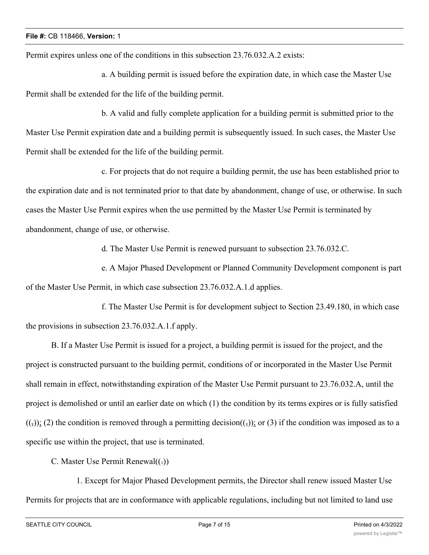Permit expires unless one of the conditions in this subsection 23.76.032.A.2 exists:

a. A building permit is issued before the expiration date, in which case the Master Use Permit shall be extended for the life of the building permit.

b. A valid and fully complete application for a building permit is submitted prior to the Master Use Permit expiration date and a building permit is subsequently issued. In such cases, the Master Use Permit shall be extended for the life of the building permit.

c. For projects that do not require a building permit, the use has been established prior to the expiration date and is not terminated prior to that date by abandonment, change of use, or otherwise. In such cases the Master Use Permit expires when the use permitted by the Master Use Permit is terminated by abandonment, change of use, or otherwise.

d. The Master Use Permit is renewed pursuant to subsection 23.76.032.C.

e. A Major Phased Development or Planned Community Development component is part of the Master Use Permit, in which case subsection 23.76.032.A.1.d applies.

f. The Master Use Permit is for development subject to Section 23.49.180, in which case the provisions in subsection 23.76.032.A.1.f apply.

B. If a Master Use Permit is issued for a project, a building permit is issued for the project, and the project is constructed pursuant to the building permit, conditions of or incorporated in the Master Use Permit shall remain in effect, notwithstanding expiration of the Master Use Permit pursuant to 23.76.032.A, until the project is demolished or until an earlier date on which (1) the condition by its terms expires or is fully satisfied  $((,))$ ; (2) the condition is removed through a permitting decision( $(,)$ ); or (3) if the condition was imposed as to a specific use within the project, that use is terminated.

C. Master Use Permit Renewal $((.)$ 

1. Except for Major Phased Development permits, the Director shall renew issued Master Use Permits for projects that are in conformance with applicable regulations, including but not limited to land use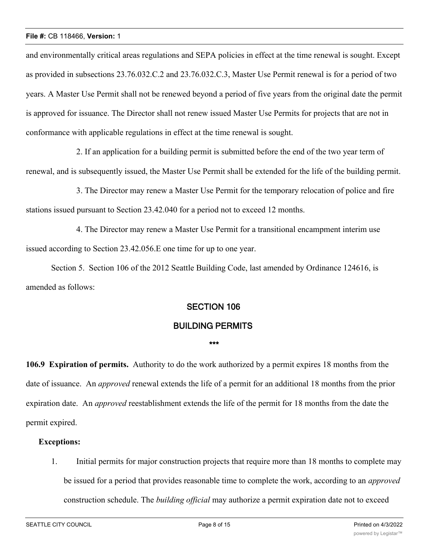and environmentally critical areas regulations and SEPA policies in effect at the time renewal is sought. Except as provided in subsections 23.76.032.C.2 and 23.76.032.C.3, Master Use Permit renewal is for a period of two years. A Master Use Permit shall not be renewed beyond a period of five years from the original date the permit is approved for issuance. The Director shall not renew issued Master Use Permits for projects that are not in conformance with applicable regulations in effect at the time renewal is sought.

2. If an application for a building permit is submitted before the end of the two year term of renewal, and is subsequently issued, the Master Use Permit shall be extended for the life of the building permit.

3. The Director may renew a Master Use Permit for the temporary relocation of police and fire stations issued pursuant to Section 23.42.040 for a period not to exceed 12 months.

4. The Director may renew a Master Use Permit for a transitional encampment interim use issued according to Section 23.42.056.E one time for up to one year.

Section 5. Section 106 of the 2012 Seattle Building Code, last amended by Ordinance 124616, is amended as follows:

### **SECTION 106**

### **BUILDING PERMITS**

#### **\*\*\***

**106.9 Expiration of permits.** Authority to do the work authorized by a permit expires 18 months from the date of issuance. An *approved* renewal extends the life of a permit for an additional 18 months from the prior expiration date. An *approved* reestablishment extends the life of the permit for 18 months from the date the permit expired.

### **Exceptions:**

1. Initial permits for major construction projects that require more than 18 months to complete may be issued for a period that provides reasonable time to complete the work, according to an *approved* construction schedule. The *building official* may authorize a permit expiration date not to exceed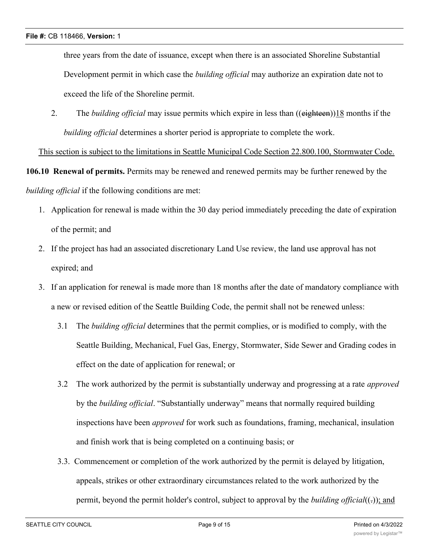three years from the date of issuance, except when there is an associated Shoreline Substantial Development permit in which case the *building official* may authorize an expiration date not to exceed the life of the Shoreline permit.

2. The *building official* may issue permits which expire in less than ((eighteen))18 months if the *building official* determines a shorter period is appropriate to complete the work.

This section is subject to the limitations in Seattle Municipal Code Section 22.800.100, Stormwater Code.

**106.10 Renewal of permits.** Permits may be renewed and renewed permits may be further renewed by the *building official* if the following conditions are met:

- 1. Application for renewal is made within the 30 day period immediately preceding the date of expiration of the permit; and
- 2. If the project has had an associated discretionary Land Use review, the land use approval has not expired; and
- 3. If an application for renewal is made more than 18 months after the date of mandatory compliance with a new or revised edition of the Seattle Building Code, the permit shall not be renewed unless:
	- 3.1 The *building official* determines that the permit complies, or is modified to comply, with the Seattle Building, Mechanical, Fuel Gas, Energy, Stormwater, Side Sewer and Grading codes in effect on the date of application for renewal; or
	- 3.2 The work authorized by the permit is substantially underway and progressing at a rate *approved* by the *building official*. "Substantially underway" means that normally required building inspections have been *approved* for work such as foundations, framing, mechanical, insulation and finish work that is being completed on a continuing basis; or
	- 3.3. Commencement or completion of the work authorized by the permit is delayed by litigation, appeals, strikes or other extraordinary circumstances related to the work authorized by the permit, beyond the permit holder's control, subject to approval by the *building official*((-)); and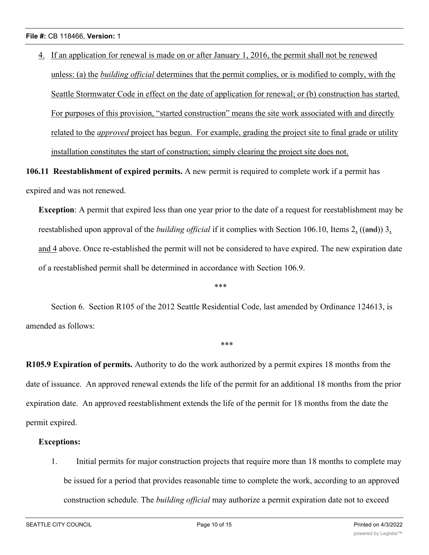4. If an application for renewal is made on or after January 1, 2016, the permit shall not be renewed unless: (a) the *building official* determines that the permit complies, or is modified to comply, with the Seattle Stormwater Code in effect on the date of application for renewal; or (b) construction has started. For purposes of this provision, "started construction" means the site work associated with and directly related to the *approved* project has begun. For example, grading the project site to final grade or utility installation constitutes the start of construction; simply clearing the project site does not.

**106.11 Reestablishment of expired permits.** A new permit is required to complete work if a permit has expired and was not renewed.

**Exception**: A permit that expired less than one year prior to the date of a request for reestablishment may be reestablished upon approval of the *building official* if it complies with Section 106.10, Items 2, ((and)) 3, and 4 above. Once re-established the permit will not be considered to have expired. The new expiration date of a reestablished permit shall be determined in accordance with Section 106.9.

\*\*\*

\*\*\*

Section 6. Section R105 of the 2012 Seattle Residential Code, last amended by Ordinance 124613, is amended as follows:

**R105.9 Expiration of permits.** Authority to do the work authorized by a permit expires 18 months from the date of issuance. An approved renewal extends the life of the permit for an additional 18 months from the prior expiration date. An approved reestablishment extends the life of the permit for 18 months from the date the permit expired.

### **Exceptions:**

1. Initial permits for major construction projects that require more than 18 months to complete may be issued for a period that provides reasonable time to complete the work, according to an approved construction schedule. The *building official* may authorize a permit expiration date not to exceed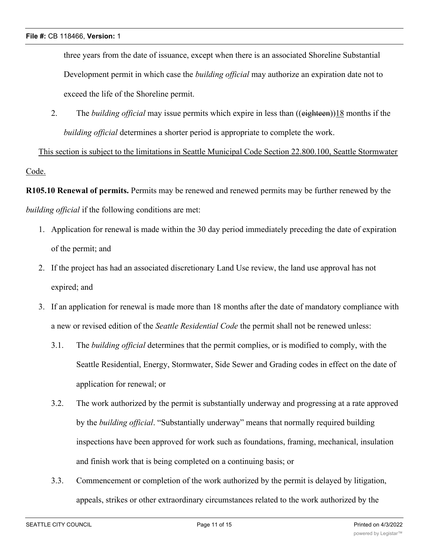three years from the date of issuance, except when there is an associated Shoreline Substantial Development permit in which case the *building official* may authorize an expiration date not to exceed the life of the Shoreline permit.

2. The *building official* may issue permits which expire in less than ((eighteen))18 months if the *building official* determines a shorter period is appropriate to complete the work.

This section is subject to the limitations in Seattle Municipal Code Section 22.800.100, Seattle Stormwater Code.

**R105.10 Renewal of permits.** Permits may be renewed and renewed permits may be further renewed by the *building official* if the following conditions are met:

- 1. Application for renewal is made within the 30 day period immediately preceding the date of expiration of the permit; and
- 2. If the project has had an associated discretionary Land Use review, the land use approval has not expired; and
- 3. If an application for renewal is made more than 18 months after the date of mandatory compliance with a new or revised edition of the *Seattle Residential Code* the permit shall not be renewed unless:
	- 3.1. The *building official* determines that the permit complies, or is modified to comply, with the Seattle Residential, Energy, Stormwater, Side Sewer and Grading codes in effect on the date of application for renewal; or
	- 3.2. The work authorized by the permit is substantially underway and progressing at a rate approved by the *building official*. "Substantially underway" means that normally required building inspections have been approved for work such as foundations, framing, mechanical, insulation and finish work that is being completed on a continuing basis; or
	- 3.3. Commencement or completion of the work authorized by the permit is delayed by litigation, appeals, strikes or other extraordinary circumstances related to the work authorized by the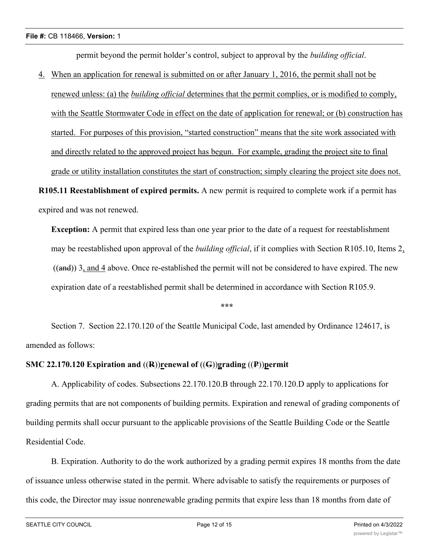permit beyond the permit holder's control, subject to approval by the *building official*.

4. When an application for renewal is submitted on or after January 1, 2016, the permit shall not be

renewed unless: (a) the *building official* determines that the permit complies, or is modified to comply, with the Seattle Stormwater Code in effect on the date of application for renewal; or (b) construction has started. For purposes of this provision, "started construction" means that the site work associated with and directly related to the approved project has begun. For example, grading the project site to final grade or utility installation constitutes the start of construction; simply clearing the project site does not.

**R105.11 Reestablishment of expired permits.** A new permit is required to complete work if a permit has expired and was not renewed.

**Exception:** A permit that expired less than one year prior to the date of a request for reestablishment may be reestablished upon approval of the *building official*, if it complies with Section R105.10, Items 2,  $((and))$  3, and 4 above. Once re-established the permit will not be considered to have expired. The new expiration date of a reestablished permit shall be determined in accordance with Section R105.9.

**\*\*\***

Section 7. Section 22.170.120 of the Seattle Municipal Code, last amended by Ordinance 124617, is amended as follows:

# **SMC 22.170.120 Expiration and** ((**R**))**renewal of** ((**G**))**grading** ((**P**))**permit**

A. Applicability of codes. Subsections 22.170.120.B through 22.170.120.D apply to applications for grading permits that are not components of building permits. Expiration and renewal of grading components of building permits shall occur pursuant to the applicable provisions of the Seattle Building Code or the Seattle Residential Code.

B. Expiration. Authority to do the work authorized by a grading permit expires 18 months from the date of issuance unless otherwise stated in the permit. Where advisable to satisfy the requirements or purposes of this code, the Director may issue nonrenewable grading permits that expire less than 18 months from date of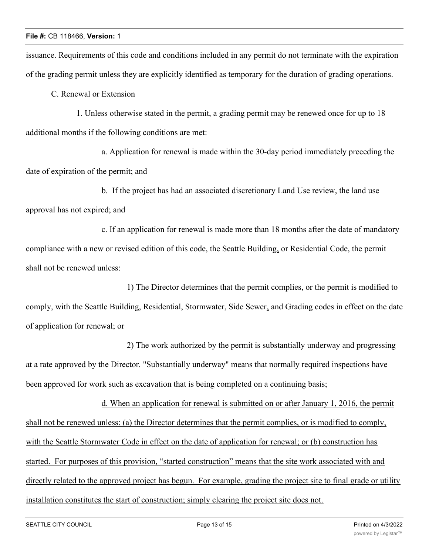issuance. Requirements of this code and conditions included in any permit do not terminate with the expiration of the grading permit unless they are explicitly identified as temporary for the duration of grading operations.

C. Renewal or Extension

1. Unless otherwise stated in the permit, a grading permit may be renewed once for up to 18 additional months if the following conditions are met:

a. Application for renewal is made within the 30-day period immediately preceding the date of expiration of the permit; and

b. If the project has had an associated discretionary Land Use review, the land use approval has not expired; and

c. If an application for renewal is made more than 18 months after the date of mandatory compliance with a new or revised edition of this code, the Seattle Building, or Residential Code, the permit shall not be renewed unless:

1) The Director determines that the permit complies, or the permit is modified to comply, with the Seattle Building, Residential, Stormwater, Side Sewer, and Grading codes in effect on the date of application for renewal; or

2) The work authorized by the permit is substantially underway and progressing at a rate approved by the Director. "Substantially underway" means that normally required inspections have been approved for work such as excavation that is being completed on a continuing basis;

d. When an application for renewal is submitted on or after January 1, 2016, the permit shall not be renewed unless: (a) the Director determines that the permit complies, or is modified to comply, with the Seattle Stormwater Code in effect on the date of application for renewal; or (b) construction has started. For purposes of this provision, "started construction" means that the site work associated with and directly related to the approved project has begun. For example, grading the project site to final grade or utility installation constitutes the start of construction; simply clearing the project site does not.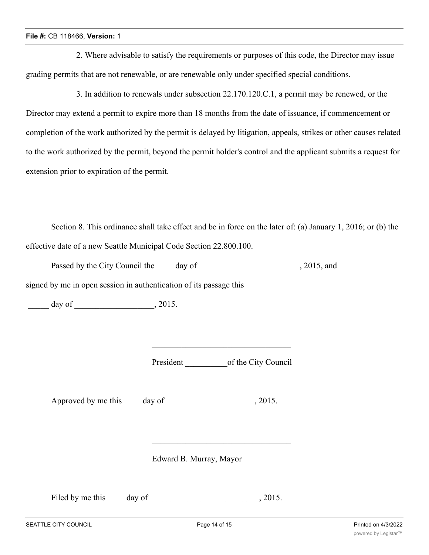2. Where advisable to satisfy the requirements or purposes of this code, the Director may issue grading permits that are not renewable, or are renewable only under specified special conditions.

3. In addition to renewals under subsection 22.170.120.C.1, a permit may be renewed, or the Director may extend a permit to expire more than 18 months from the date of issuance, if commencement or completion of the work authorized by the permit is delayed by litigation, appeals, strikes or other causes related to the work authorized by the permit, beyond the permit holder's control and the applicant submits a request for extension prior to expiration of the permit.

Section 8. This ordinance shall take effect and be in force on the later of: (a) January 1, 2016; or (b) the effective date of a new Seattle Municipal Code Section 22.800.100.

Passed by the City Council the \_\_\_\_\_ day of \_\_\_\_\_\_\_\_\_\_\_\_\_\_\_\_\_\_\_\_\_\_\_, 2015, and

signed by me in open session in authentication of its passage this

\_\_\_\_\_ day of \_\_\_\_\_\_\_\_\_\_\_\_\_\_\_\_\_\_\_, 2015.

President of the City Council

Approved by me this day of 3015.

Edward B. Murray, Mayor

Filed by me this day of 3015.